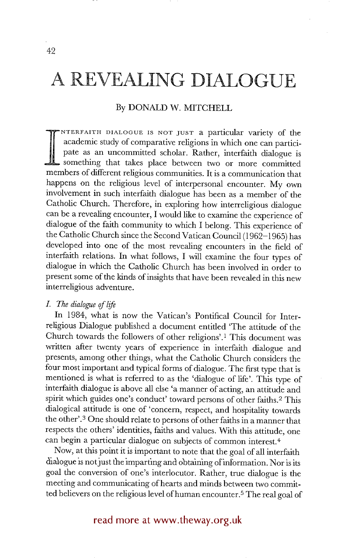#### By DONALD W. MITCHELL

pate as an uncommitted scholar. Rather, interfaith dialogue is something that takes place between two or more committed NTERFAITH DIALOGUE IS NOT JUST a particular variety of the academic study of comparative religions in which one can participate as an uncommitted scholar. Rather, interfaith dialogue is members of different religious communities. It is a communication that happens on the religious level of interpersonal encounter. My own involvement in such interfaith dialogue has been as a member of the Catholic Church. Therefore, in exploring how interreligious dialogue can be a revealing encounter, I would like to examine the experience of dialogue of the faith community to which I belong. This experience of the Catholic Church since the Second Vatican Council (1962-1965) has developed into one of the most revealing encounters in the field of interfaith relations. In what follows, I will examine the four types of dialogue in which the Catholic Church has been involved in order to present some of the kinds of insights that have been revealed in this new interreligious adventure.

### *\_1. The dialogue of life*

In 1984, what is now the Vatican's Pontifical Council for Interreligious Dialogue published a document entitled 'The attitude of the Church towards the followers of other religions'.I This document was written after twenty years of experience in interfaith dialogue and presents, among other things, what the Catholic Church considers the four most important and typical forms of dialogue. The first type that is mentioned is what is referred to as the 'dialogue of life'. This type of interfaith dialogue is above all else 'a manner of acting, an attitude and spirit which guides one's conduct' toward persons of other faiths. 2 This dialogical attitude is one of 'concern, respect, and hospitality towards the other'. 3 One should relate to persons of other faiths in a manner that respects the others' identities, faiths and values. With this attitude, one can begin a particular dialogue on subjects of common interest. 4

Now, at this point it is important to note that the goal of all interfaith dialogue is not just the imparting and obtaining of information. Nor is its goal the conversion of one's interlocutor. Rather, true dialogue is the meeting and communicating of hearts and minds between two committed believers on the religious level of human encounter. 5 The real goal of

## read more at www.theway.org.uk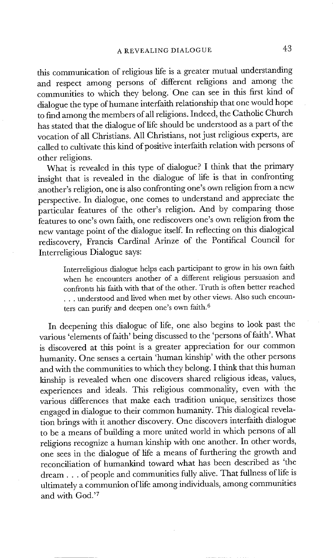this communication of religious life is a greater mutual understanding and respect among persons of different religions and among the communities to which they belong. One can see in this first kind of dialogue the type of humane interfaith relationship that one would hope to find among the members of all religions. Indeed, the Catholic Church has stated that the dialogue of life should be understood as a part of the vocation of all Christians. All Christians, not just religious experts, are called to cultivate this kind of positive interfaith relation with persons of other religions.

What is revealed in this type of dialogue? I think that the primary insight that is revealed in the dialogue of life is that in confronting another's religion, one is also confronting one's own religion from a new perspective. In dialogue, one comes to understand and appreciate the particular features of the other's religion. And by comparing those features to one's own faith, one rediscovers one's own religion from the new vantage point of the dialogue itself. In reflecting on this dialogical rediscovery, Francis Cardinal Arinze of the Pontifical Council for Interreligious Dialogue says:

Interreligious dialogue helps each participant to grow in his own faith when he encounters another of a different religious persuasion and confronts his faith with that of the other. Truth is often better reached **• . .** understood and lived when met by other views. Also such encounters can purify and deepen one's own faith. 6

In deepening this dialogue of life, one also begins to look past the various 'elements of faith' being discussed to the 'persons of faith'. What is discovered at this point is a greater appreciation for our common humanity. One senses a certain 'human kinship' with the other persons and with the communities to which they belong. I think that this human kinship is revealed when one discovers shared religious ideas, values, experiences and ideals• This religious commonality, even with the various differences that make each tradition unique, sensitizes those engaged in dialogue to their common humanity. This dialogical revelation brings with it another discovery. One discovers interfaith dialogue to be a means of building a more united world in which persons of all religions recognize a human kinship with one another. In other words, one sees in the dialogue of life a means of furthering the growth and reconciliation of humankind toward what has been described as 'the dream.., of people and communities fully alive. That fullness of life is ultimately a communion of life among individuals, among communities and with God.'7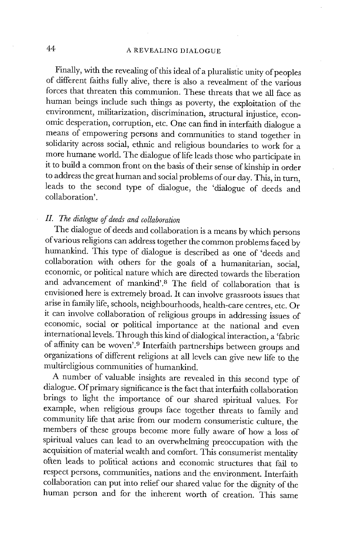Finally, with the revealing of this ideal of a pluralistic unity of peoples of different faiths fully alive, there is also a revealment of the various forces that threaten this communion. These threats that we all face as human beings include such things as poverty, the exploitation of the environment, militarization, discrimination, structural injustice, economic desperation, corruption, etc. One can find in interfaith dialogue a means of empowering persons and communities to stand together in solidarity across social, ethnic and religious boundaries to work for a more humane world. The dialogue of life leads those who participate in it to build a common front on the basis of their sense of kinship in order to address the great human and social problems of our day. This, in turn, leads to the second type of dialogue, the 'dialogue of deeds and collaboration'.

## *II. The dialogue of deeds and collaboration*

The dialogue of deeds and collaboration is a means by which persons of various religions can address together the common problems faced by humankind. This type of dialogue is described as one of 'deeds and collaboration with others for the goals of a humanitarian, social, economic, or political nature which are directed towards the liberation and advancement of mankind'.<sup>8</sup> The field of collaboration that is envisioned here is extremely broad. It can involve grassroots issues that arise in family life, schools, neighbourhoods, health-care centres, etc. Or it can involve collaboration of religious groups in addressing issues of economic, social or political importance at the national and even international levels. Through this kind of dialogical interaction, a 'fabric of affinity can be woven'. 9 Interfaith partnerships between groups and organizations of different religions at all levels can give new life to the multireligious communities of humankind.

A number of valuable insights are revealed in this second type of dialogue. Of primary significance is the fact that interfaith collaboration brings to light the importance of our shared spiritual values. For example, when religious groups face together threats to family and community life that arise from our modern consumeristic culture, the members of these groups become more fully aware of how a loss of spiritual values can lead to an overwhelming preoccupation with the acquisition of material wealth and comfort. This consumerist mentality often leads to political actions and economic structures that fail to respect persons, communities, nations and the environment. Interfaith collaboration can put into relief our shared value for the dignity of the human person and for the inherent worth of creation. This same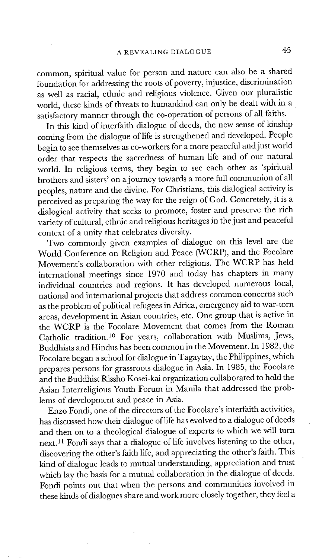common, spiritual value for person and nature can also be a shared foundation for addressing the roots of poverty, injustice, discrimination as well as racial, ethnic and religious violence. Given our pluralistic world, these kinds of threats to humankind can only be dealt with in a satisfactory manner through the co-operation of persons of all faiths.

In this kind of interfaith dialogue of deeds, the new sense of kinship coming from the dialogue of life is strengthened and developed. People begin to see themselves as co-workers for a more peaceful and just world order that respects the sacredness of human life and of our natural world. In religious terms, they begin to see each other as 'spiritual brothers and sisters' on a journey towards a more full communion of all peoples, nature and the divine. For Christians, this dialogical activity is perceived as preparing the way for the reign of God. Concretely, it is a dialogical activity that seeks to promote, foster and preserve the rich variety of cultural, ethnic and religious heritages in the just and peaceful context of a unity that celebrates diversity.

Two commonly given examples of dialogue on this level are the World Conference on Religion and Peace (WCRP), and the Focolare Movement's collaboration with other religions. The WCRP has held international meetings since 1970 and today has chapters in many individual countries and regions. It has developed numerous local, national and international projects that address common concerns such as the problem of political refugees in Africa, emergency aid to war-torn areas, development in Asian countries, etc. One group that is active in the WCRP is the Focolare Movement that comes from the Roman Catholic tradition.<sup>10</sup> For years, collaboration with Muslims, Jews, Buddhists and Hindus has been common in the Movement. In 1982, the Focolare began a school for dialogue in Tagaytay, the Philippines, which prepares persons for grassroots dialogue in Asia. In 1985, the Focolare and the Buddhist Rissho Kosei-kai organization collaborated to hold the Asian Interreligious Youth Forum in Manila that addressed the problems of development and peace in Asia.

Enzo Fondi, one of the directors of the Focolare's interfaith activities, has discussed how their dialogue of life has evolved to a dialogue of deeds and then on to a theological dialogue of experts to which we will turn next. 11 Fondi says that a dialogue of life involves listening to the other, discovering the other's faith life, and appreciating the other's faith. This kind of dialogue leads to mutual understanding, appreciation and trust which lay the basis for a mutual collaboration in the dialogue of deeds. Fondi points out that when the persons and communities involved in these kinds of dialogues share and work more closely together, they feel a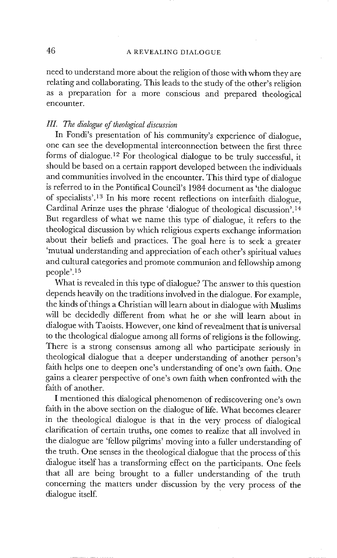need to understand more about the religion of those with whom they are relating and collaborating. This leads to the study of the other's religion as a preparation for a more conscious and prepared theological encounter.

#### *III. The dialogue of theological discussion*

In Fondi's presentation of his community's experience of dialogue, one can see the developmental interconnection between the first three forms of dialogue. 12 For theological dialogue to be truly successful, it should be based on a certain rapport developed between the individuals and communities involved in the encounter. This third type of dialogue is referred to in the Pontifical Council's 1984 document as 'the dialogue of specialists'. 13 In his more recent reflections on interfaith dialogue, Cardinal Arinze uses the phrase 'dialogue of theological discussion'.<sup>14</sup> But regardless of what we name this type of dialogue, it refers to the theological discussion by which religious experts exchange information about their beliefs and practices. The goal here is to seek a greater ~mutual understanding and appreciation of each other's spiritual values and cultural categories and promote communion and fellowship among people'.<sup>15</sup>

What is revealed in this type of dialogue? The answer to this question depends heavily on the traditions involved in the dialogue. For example, the kinds of things a Christian will learn about in dialogue with Muslims will be decidedly different from what he or she will learn about in dialogue with Taoists. However, one kind ofrevealment that is universal to the theological dialogue among all forms of religions is the following. There is a strong consensus among all who participate seriously in theological dialogue that a deeper understanding of another person's faith helps one to deepen one's understanding of one's own faith. One gains a clearer perspective of one's own faith when confronted with the faith of another.

I mentioned this dialogical phenomenon of rediscovering one's own faith in the above section on the dialogue of life. What becomes clearer in the theological dialogue is that in the very process of dialogicai clarification of certain truths, one comes to realize that all involved in the dialogue are 'fellow pilgrims' moving into a fuller understanding of the truth. One senses in the theological dialogue that the process of this dialogue itself has a transforming effect on the participants. One feels that all are being brought to a fuller understanding of the truth concerning the matters under discussion by the very process of the dialogue itself.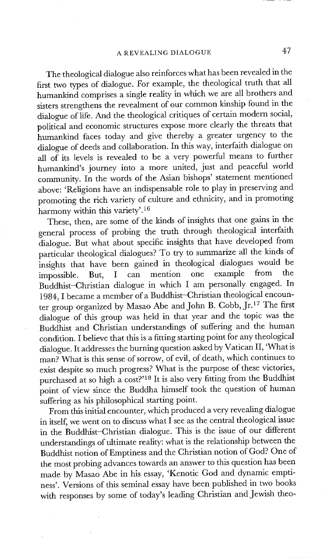The theological dialogue also reinforces what has been revealed in the first two types of dialogue. For example, the theological truth that all humankind comprises a single reality in which we are all brothers and sisters strengthens the revealment of our common kinship found in the dialogue of life. And the theological critiques of certain modern social, political and economic structures expose more clearly the threats that humankind faces today and give thereby a greater urgency to the dialogue of deeds and collaboration. In this way, interfaith dialogue on all of its levels is revealed to be a very powerful means to further humankind's journey into a more united, just and peaceful world community. In the words of the Asian bishops' statement mentioned above: 'Religions have an indispensable role to play in preserving and promoting the rich variety of culture and ethnicity, and in promoting harmony within this variety'. 16

These, then, are some of the kinds of insights that one gains in the general process of probing the truth through theological interfaith dialogue. But what about specific insights that have developed from particular theological dialogues? To try to summarize all the kinds of insights that have been gained in theological dialogues would be impossible. But, I can mention one example from the Buddhist-Christian dialogue in which I am personally engaged. In 1984, I became a member of a Buddhist-Christian theological encounter group organized by Masao Abe and John B. Cobb, Jr. 17 The first dialogue of this group was held in that year and the topic was the Buddhist and Christian understandings of suffering and the human condition. I believe that this is a fitting starting point for any theological dialogue. It addresses the burning question asked by Vatican II, 'What is man? What is this sense of sorrow, of evil, of death, which continues to exist despite so much progress? What is the purpose of these victories, purchased at so high a cost?'<sup>18</sup> It is also very fitting from the Buddhist point of view since the Buddha himself took the question of human suffering as his philosophical starting point.

From this initial encounter, which produced a very revealing dialogue in itself, we went on to discuss what I see as the central theological issue in the Buddhist-Christian dialogue. This is the issue of our different understandings of ultimate reality: what is the relationship between the Buddhist notion of Emptiness and the Christian notion of God? One of the most probing advances towards an answer to this question has been made by Masao Abe in his essay, 'Kenotic God and dynamic emptiness'. Versions of this seminal essay have been published in two books with responses by some of today's leading Christian and Jewish theo-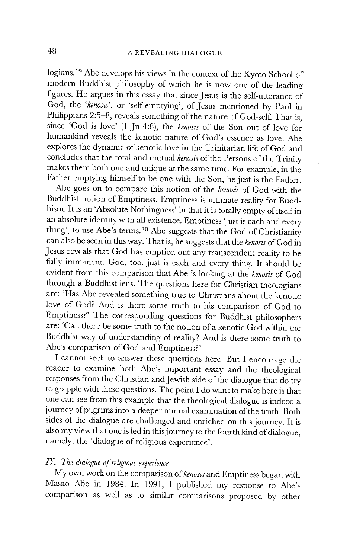logians.<sup>19</sup> Abe develops his views in the context of the Kyoto School of modern Buddhist philosophy of which he is now one of the leading figures. He argues in this essay that since Jesus is the self-utterance of God, the *'kenosis',* or 'self-emptying', of Jesus mentioned by Paul in Philippians 2:5-8, reveals something of the nature of God-self. That is, since 'God is love' (1 Jn 4:8), the *kenosis* of the Son out of love for humankind reveals the kenotic nature of God's essence as love. Abe explores the dynamic of kenotic love in the Trinitarian life of God and concludes that the total and mutual *kenosis* of the Persons of the Trinity makes them both one and unique at the same time. For example, in the Father emptying himself to be one with the Son, he just is the Father.

Abe goes on to compare this notion of the *kenosis* of God with the Buddhist notion of Emptiness. Emptiness is ultimate reality for Buddhism. It is an 'Absolute Nothingness' in that it is totally empty of itself in an absolute identity with all existence. Emptiness 'just is each and every thing', to use Abe's terms. 20 Abe suggests that the God of Christianity can also be seen in this way. That is, he suggests that the *kenosis* of God in Jesus reveals that God has emptied out any transcendent reality to be fully immanent. God, too, just is each and every thing. It should be evident from this comparison that Abe is looking at the *kenosis* of God through a Buddhist lens. The questions here for Christian theologians are: 'Has Abe revealed something true to Christians about the kenotic love of God? And is there some truth to his comparison of God to Emptiness?' The corresponding questions for Buddhist philosophers are: 'Can there be some truth to the notion ofa kenotic God within the Buddhist way of understanding of reality? And is there some truth to Abe's comparison of God and Emptiness?'

I cannot seek to answer these questions here. But I encourage the reader to examine both Abe's important essay and the theological responses from the Christian and Jewish side of the dialogue that do try to grapple with these questions. The point I do want to make here is that one can see from this example that the theological dialogue is indeed a journey of pilgrims into a deeper mutual examination of the truth. Both sides of the dialogue are challenged and enriched on this journey. It is also my view that one is led in this journey to the fourth kind of dialogue, namely, the 'dialogue of religious experience'.

### *IV. The dialogue of rdigious experience*

My own work on the comparison *ofkenosis* and Emptiness began with Masao Abe in 1984. In 1991, I published my response to Abe's comparison as well as to similar comparisons proposed by other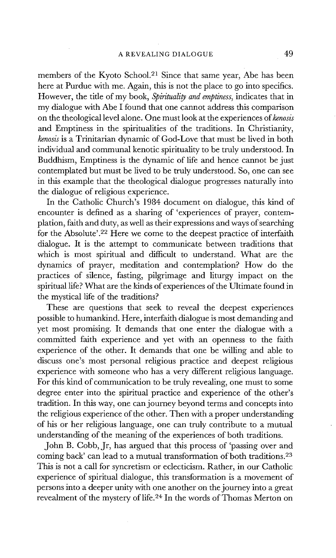members of the Kyoto School.<sup>21</sup> Since that same year, Abe has been here at Purdue with me. Again, this is not the place to go into specifics. However, the title of my book, *Spirituality and emptiness,* indicates that in my dialogue with Abe I found that one cannot address this comparison on the theological level alone. One must look at the experiences *ofkenosis*  and Emptiness in the spiritualities of the traditions. In Christianity, *kenosis* is a Trinitarian dynamic of God-Love that must be lived in both individual and communal kenotic spirituality to be truly understood. In Buddhism, Emptiness is the dynamic of life and hence cannot be just contemplated but must be lived to be truly understood. So, one can see in this example that the theological dialogue progresses naturally into the dialogue of religious experience.

In the Catholic Church's 1984 document on dialogue, this kind of encounter is defined as a sharing of 'experiences of prayer, contemplation, faith and duty, as well as their expressions and ways of searching for the Absolute'.<sup>22</sup> Here we come to the deepest practice of interfaith dialogue. It is the attempt to communicate between traditions that which is most spiritual and difficult to understand. What are the dynamics of prayer, meditation and contemplation? How do the practices of silence, fasting, pilgrimage and liturgy impact on the spiritual life? What are the kinds of experiences of the Ultimate found in the mystical life of the traditions?

These are questions that seek to reveal the deepest experiences possible to humankind. Here, interfaith dialogue is most demanding and yet most promising. It demands that one enter the dialogue with a committed faith experience and yet with an openness to the faith experience of the other. It demands that one be willing and able to discuss one's most personal religious practice and deepest religious experience with someone who has a very different religious language. For this kind of communication to be truly revealing, one must to some degree enter into the spiritual practice and experience of the other's tradition. In this way, one can journey beyond terms and concepts into the religious experience of the other. Then with a proper understanding of his or her religious language, one can truly contribute to a mutual understanding of the meaning of the experiences of both traditions.

John B. Cobb, Jr, has argued that this process of 'passing over and coming back' can lead to a mutual transformation of both traditions.<sup>23</sup> This is not a call for syncretism or eclecticism. Rather, in our Catholic experience of spiritual dialogue, this transformation is a movement of persons into a deeper unity with one another on the journey into a great revealment of the mystery of life. 24 In the words of Thomas Merton on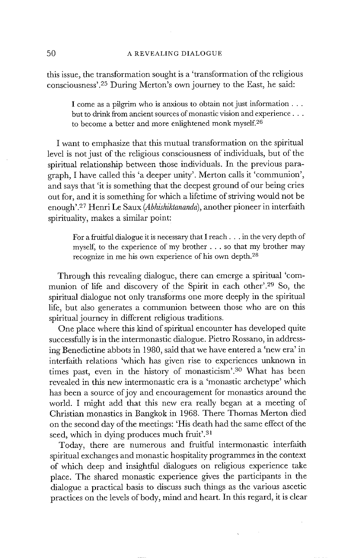this issue, the transformation sought is a 'transformation of the religious consciousness'.<sup>25</sup> During Merton's own journey to the East, he said:

> I come as a pilgrim who is anxious to obtain not just information... but to drink from ancient sources of monastic vision and experience . . . to become a better and more enlightened monk myself.<sup>26</sup>

I want to emphasize that this mutual transformation on the spiritual level is not just of the religious consciousness of individuals, but of the spiritual relationship between those individuals. In the previous paragraph, I have called this 'a deeper unity'. Merton calls it 'communion', and says that 'it is something that the deepest ground of our being cries out for, and it is something for which a lifetime of striving would not be enough'.27 Henri Le Saux *(Abhishiktananda),* another pioneer in interfaith spirituality, makes a similar point:

For a fruitful dialogue it is necessary that I reach... in the very depth of myself, to the experience of my brother . . . so that my brother may recognize in me his own experience of his own depth. 2a

Through this revealing dialogue, there can emerge a spiritual 'communion of life and discovery of the Spirit in each other'. 29 So, the spiritual dialogue not only transforms one more deeply in the spiritual life, but also generates a communion between those who are on this spiritual journey in different religious traditions.

One place where this kind of spiritual encounter has developed quite successfully is in the intermonastic dialogue. Pietro Rossano, in addressing Benedictine abbots in 1980, said that we have entered a 'new era' in interfaith relations 'which has given rise to experiences unknown in times past, even in the history of monasticism'.<sup>30</sup> What has been revealed in this new intermonastic era is a 'monastic archetype' which has been a source of joy and encouragement for monastics around the world. I might add that this new era really began at a meeting of Christian monastics in Bangkok in 1968. There Thomas Merton died on the second day of the meetings: 'His death had the same effect of the seed, which in dying produces much fruit'. $31$ 

Today, there are numerous and fruitful intermonastic interfaith spiritual exchanges and monastic hospitality programmes in the context of which deep and insightful dialogues on religious experience take place. The shared monastic experience gives the participants in the dialogue a practical basis to discuss such things as the various ascetic practices on the levels of body, mind and heart. In this regard, it is clear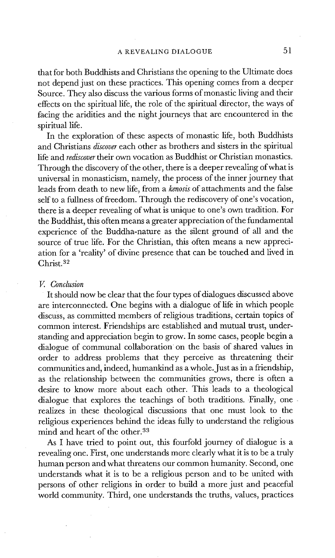that for both Buddhists and Christians the opening to the Ultimate does not depend just on these practices. This opening comes from a deeper Source. They also discuss the various forms of monastic living and their effects on the spiritual life, the role of the spiritual director, the ways of facing the aridities and the night journeys that are encountered in the spiritual life.

In the exploration of these aspects of monastic life, both Buddhists and Christians *discover* each other as brothers and sisters in the spiritual life and *rediscover* their own vocation as Buddhist or Christian monastics. Through the discovery of the other, there is a deeper revealing of what is universal in monasticism, namely, the process of the inner journey that leads from death to new life, from a *kenosis* of attachments and the false self to a fullness of freedom. Through the rediscovery of one's vocation, there is a deeper revealing of what is unique to one's own tradition. For the Buddhist, this often means a greater appreciation of the fundamental experience of the Buddha-nature as the silent ground of all and the source of true life. For the Christian, this often means a new appreciation for a 'reality' of divine presence that can be touched and lived in Christ.<sup>32</sup>

#### *V. Conclusion*

It should now be clear that the four types of dialogues discussed above are interconnected. One begins with a dialogue of life in which people discuss, as committed members of religious traditions, certain topics of common interest. Friendships are established and mutual trust, understanding and appreciation begin to grow. In some cases, people begin a dialogue of communal collaboration on the basis of shared values in order to address problems that they perceive as threatening their communities and, indeed, humankind as a whole. Just as in a friendship, as the relationship between the communities grows, there is often a desire to know more about each other. This leads to a theological dialogue that explores the teachings of both traditions. Finally, one realizes in these theological discussions that one must look to the religious experiences behind the ideas fully to understand the religious mind and heart of the other. 3a

As I have tried to point out, this fourfold journey of dialogue is a revealing one. First, one understands more clearly what it is to be a truly human person and what threatens our common humanity. Second, one understands what it is to be a religious person and to be united with persons of other religions in order to build a more just and peaceful world community. Third, one understands the truths, values, practices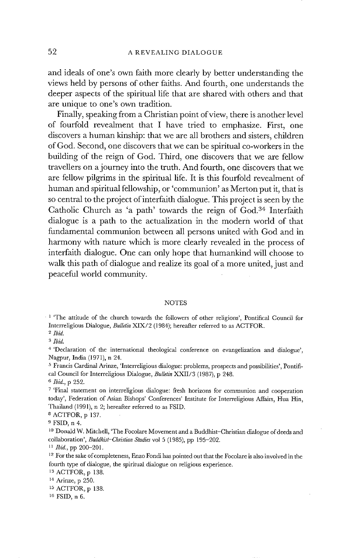**and ideals of one's own faith more clearly by better understanding the views held by persons of other faiths. And fourth, one understands the deeper aspects of the spiritual life that are shared with others and that are unique to one's own tradition.** 

**Finally, speaking from a Christian point of view, there is another level of fourfold revealment that I have tried to emphasize. First, one discovers a human kinship: that we are all brothers and sisters, children of God. Second, one discovers that we can be spiritual co-workers in the building of the reign of God. Third, one discovers that we are fellow travellers on a journey into the truth. And fourth, one discovers that we are fellow pilgrims in the spiritual life. Itis this fourfold revealment of human and spiritual fellowship, or 'communion' as Merton put it, that is so central to the project of interfaith dialogue. This project is seen by the Catholic Church as 'a path' towards the reign of God. 34 Interfaith dialogue is a path to the actualization in the modern world of that fundamental communion between all persons united with God and in harmony with nature which is more clearly revealed in the process of interfaith dialogue. One can only hope that humankind will choose to walk this path of dialogue and realize its goal of a more united, just and peaceful world community.** 

#### NOTES

1 'The **attitude of the church towards the followers of other religions', Pontifical Council for Interreligious Dialogue,** *Bulletin* XIX/2 (1984); **hereafter referred to as** ACTFOR.

*2 Ibid.* 

*3 Ibid.* 

4 **'Declaration of the international theological conference on evangelization and dialogue', Nagpur, India** (1971), n 24.

<sup>5</sup> Francis Cardinal Arinze, 'Interreligious dialogue: problems, prospects and possibilities', Pontifi**cal Council for Interreligious** Dialogue, *Bulletin* XXII/3 (1987), p 248. *6 Ibid.,* p 252.

7 'Final **statement on interreligious dialogue: fresh horizons for communion and cooperation today', Federation of Asian Bishops' Conferences' Institute for Interreligious Affairs, Hua** Hin, **Thailand** (1991), n 2; **hereafter referred to** as FSID.

8 ACTFOR, p 137.

9 FSID, n 4.

1o Donald W. Mitchell, 'The **Focolare Movement and a Buddhist-Christian dialogue of deeds and collaboration',** *Buddhist-Christian Studies* **vol** 5 (1985), pp 195-202.

*H Ibid.,* pp 200-201.

12 **For the sake of completeness, Enzo Fondi has pointed out that the Focolare is also involved in the fourth type of dialogue, the spiritual dialogue on religious experience.** 

13 ACTFOR, p 138.

15 ACTFOR, p 138.

16 FSID, n 6.

<sup>14</sup> Arinze, p 250.